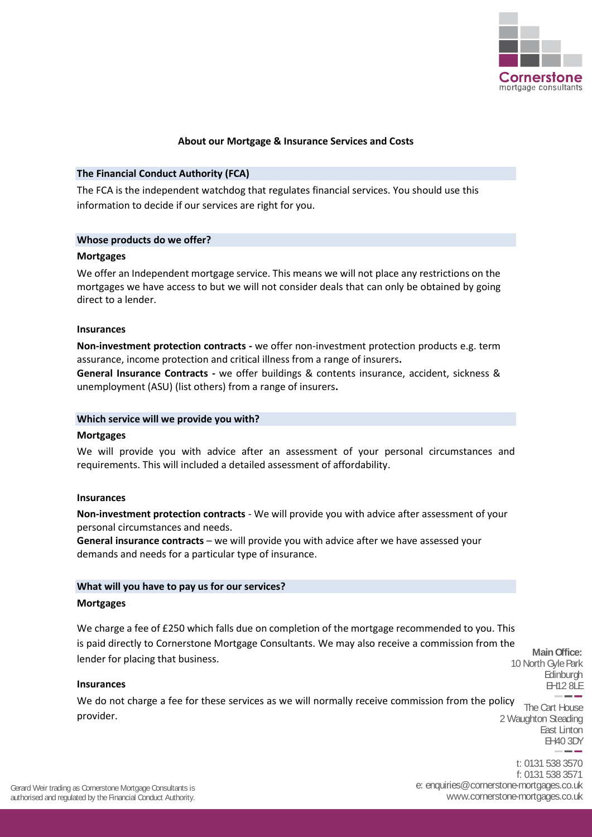

# **About our Mortgage & Insurance Services and Costs**

#### **The Financial Conduct Authority (FCA)**

The FCA is the independent watchdog that regulates financial services. You should use this information to decide if our services are right for you.

# **Whose products do we offer?**

#### **Mortgages**

We offer an Independent mortgage service. This means we will not place any restrictions on the mortgages we have access to but we will not consider deals that can only be obtained by going direct to a lender.

# **Insurances**

**Non-investment protection contracts -** we offer non-investment protection products e.g. term assurance, income protection and critical illness from a range of insurers**.**

**General Insurance Contracts -** we offer buildings & contents insurance, accident, sickness & unemployment (ASU) (list others) from a range of insurers**.**

#### **Which service will we provide you with?**

#### **Mortgages**

We will provide you with advice after an assessment of your personal circumstances and requirements. This will included a detailed assessment of affordability.

#### **Insurances**

**Non-investment protection contracts** - We will provide you with advice after assessment of your personal circumstances and needs.

**General insurance contracts** – we will provide you with advice after we have assessed your demands and needs for a particular type of insurance.

#### **What will you have to pay us for our services?**

#### **Mortgages**

We charge a fee of £250 which falls due on completion of the mortgage recommended to you. This is paid directly to Cornerstone Mortgage Consultants. We may also receive a commission from the lender for placing that business.

**Main Office:** 10 North Gyle Park **Edinburgh** EH12 8LE

East Linton

#### **Insurances**

We do not charge a fee for these services as we will normally receive commission from the policy  $\overline{ }$  The Cart House 2 Waughton Steading provider.

> EH40 3DY t: 0131 538 3570 f: 0131 538 3571 e: enquiries@cornerstone-mortgages.co.uk www.cornerstone-mortgages.co.uk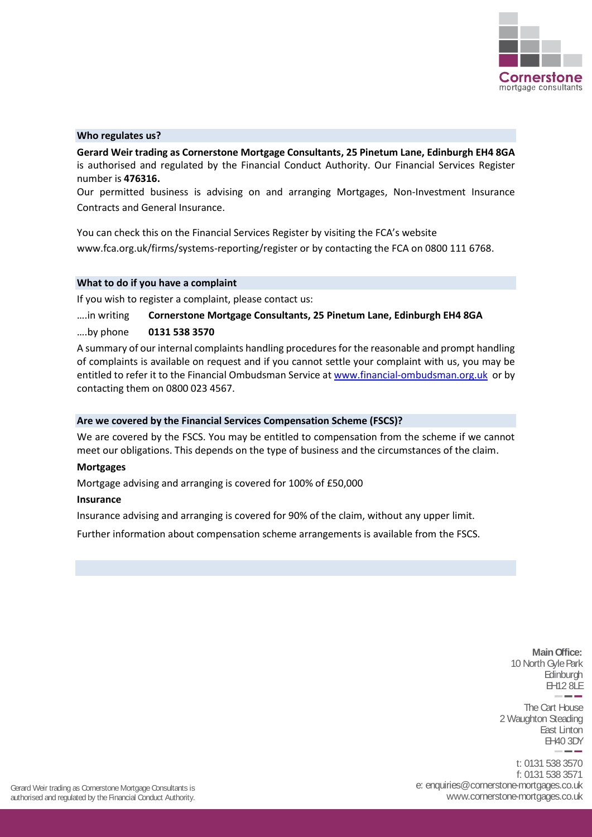

# **Who regulates us?**

**Gerard Weir trading as Cornerstone Mortgage Consultants, 25 Pinetum Lane, Edinburgh EH4 8GA** is authorised and regulated by the Financial Conduct Authority. Our Financial Services Register number is **476316.**

Our permitted business is advising on and arranging Mortgages, Non-Investment Insurance Contracts and General Insurance.

You can check this on the Financial Services Register by visiting the FCA's website www.fca.org.uk/firms/systems-reporting/register or by contacting the FCA on 0800 111 6768.

#### **What to do if you have a complaint**

If you wish to register a complaint, please contact us:

# ….in writing **Cornerstone Mortgage Consultants, 25 Pinetum Lane, Edinburgh EH4 8GA** ….by phone **0131 538 3570**

A summary of our internal complaints handling procedures for the reasonable and prompt handling of complaints is available on request and if you cannot settle your complaint with us, you may be entitled to refer it to the Financial Ombudsman Service at [www.financial-ombudsman.org.uk](http://www.financial-ombudsman.org.uk/) or by contacting them on 0800 023 4567.

#### **Are we covered by the Financial Services Compensation Scheme (FSCS)?**

We are covered by the FSCS. You may be entitled to compensation from the scheme if we cannot meet our obligations. This depends on the type of business and the circumstances of the claim.

#### **Mortgages**

Mortgage advising and arranging is covered for 100% of £50,000

#### **Insurance**

Insurance advising and arranging is covered for 90% of the claim, without any upper limit.

Further information about compensation scheme arrangements is available from the FSCS.

**Main Office:** 10 North Gyle Park **Edinburgh** EH12 8LE

The Cart House 2 Waughton Steading East Linton EH40 3DY

t: 0131 538 3570 f: 0131 538 3571 e: enquiries@cornerstone-mortgages.co.uk www.cornerstone-mortgages.co.uk